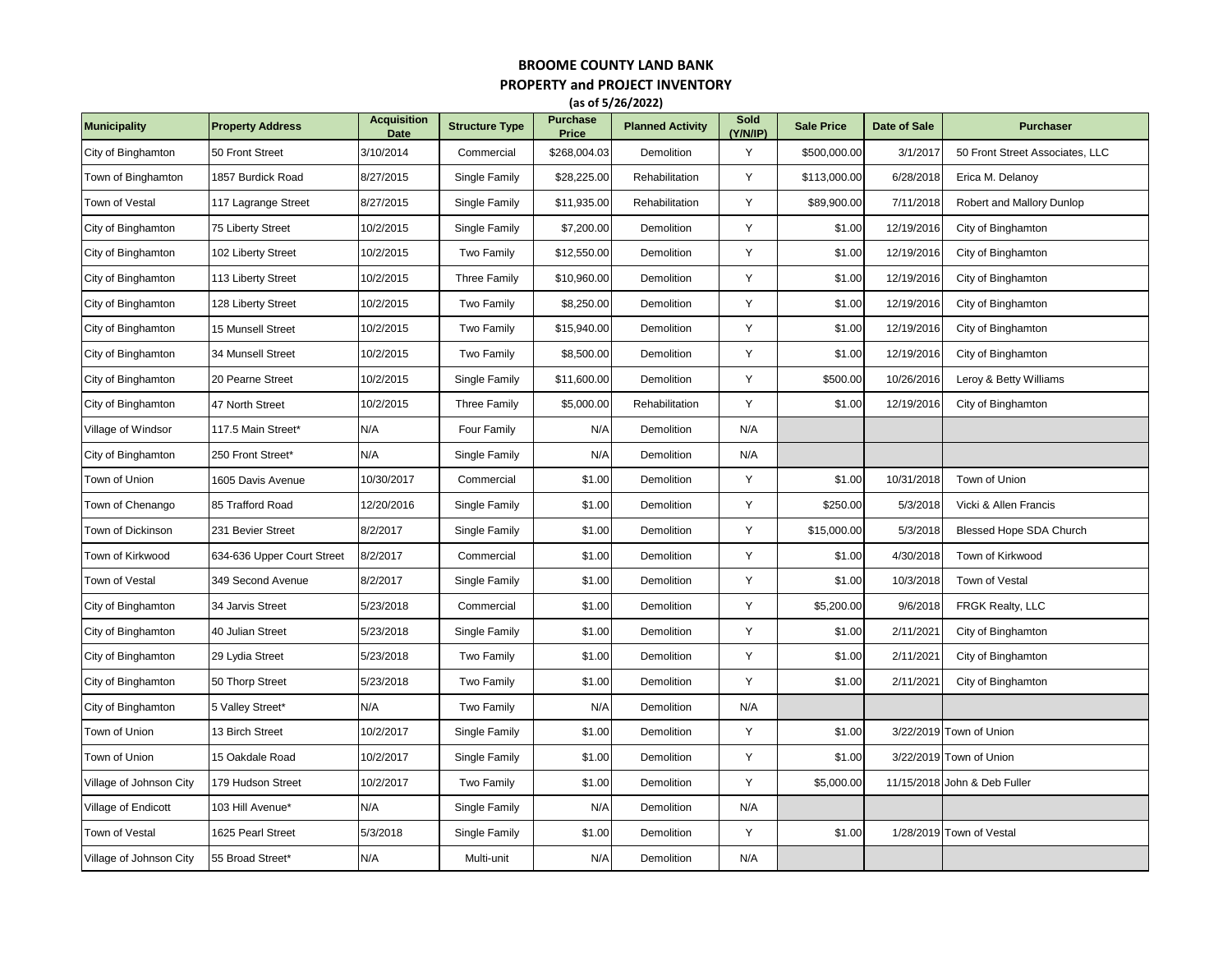## **BROOME COUNTY LAND BANK PROPERTY and PROJECT INVENTORY (as of 5/26/2022)**

| <b>Municipality</b>     | <b>Property Address</b>    | <b>Acquisition</b><br><b>Date</b> | <b>Structure Type</b> | <b>Purchase</b><br>Price | <b>Planned Activity</b> | Sold<br>(Y/N/IP) | <b>Sale Price</b> | Date of Sale | <b>Purchaser</b>                |
|-------------------------|----------------------------|-----------------------------------|-----------------------|--------------------------|-------------------------|------------------|-------------------|--------------|---------------------------------|
| City of Binghamton      | 50 Front Street            | 3/10/2014                         | Commercial            | \$268,004.03             | Demolition              | Y                | \$500,000.00      | 3/1/2017     | 50 Front Street Associates, LLC |
| Town of Binghamton      | 1857 Burdick Road          | 8/27/2015                         | Single Family         | \$28,225.00              | Rehabilitation          | Y                | \$113,000.00      | 6/28/2018    | Erica M. Delanoy                |
| Town of Vestal          | 117 Lagrange Street        | 8/27/2015                         | Single Family         | \$11,935.00              | Rehabilitation          | Y                | \$89,900.00       | 7/11/2018    | Robert and Mallory Dunlop       |
| City of Binghamton      | 75 Liberty Street          | 10/2/2015                         | Single Family         | \$7,200.00               | Demolition              | Y                | \$1.00            | 12/19/2016   | City of Binghamton              |
| City of Binghamton      | 102 Liberty Street         | 10/2/2015                         | Two Family            | \$12,550.00              | Demolition              | Y                | \$1.00            | 12/19/2016   | City of Binghamton              |
| City of Binghamton      | 113 Liberty Street         | 10/2/2015                         | <b>Three Family</b>   | \$10,960.00              | Demolition              | Y                | \$1.00            | 12/19/2016   | City of Binghamton              |
| City of Binghamton      | 128 Liberty Street         | 10/2/2015                         | Two Family            | \$8,250.00               | Demolition              | Y                | \$1.00            | 12/19/2016   | City of Binghamton              |
| City of Binghamton      | 15 Munsell Street          | 10/2/2015                         | Two Family            | \$15,940.00              | Demolition              | Y                | \$1.00            | 12/19/2016   | City of Binghamton              |
| City of Binghamton      | 34 Munsell Street          | 10/2/2015                         | Two Family            | \$8,500.00               | Demolition              | Y                | \$1.00            | 12/19/2016   | City of Binghamton              |
| City of Binghamton      | 20 Pearne Street           | 10/2/2015                         | Single Family         | \$11,600.00              | Demolition              | Y                | \$500.00          | 10/26/2016   | Leroy & Betty Williams          |
| City of Binghamton      | 47 North Street            | 10/2/2015                         | <b>Three Family</b>   | \$5,000.00               | Rehabilitation          | Y                | \$1.00            | 12/19/2016   | City of Binghamton              |
| Village of Windsor      | 117.5 Main Street*         | N/A                               | Four Family           | N/A                      | Demolition              | N/A              |                   |              |                                 |
| City of Binghamton      | 250 Front Street*          | N/A                               | Single Family         | N/A                      | Demolition              | N/A              |                   |              |                                 |
| Town of Union           | 1605 Davis Avenue          | 10/30/2017                        | Commercial            | \$1.00                   | Demolition              | Y                | \$1.00            | 10/31/2018   | Town of Union                   |
| Town of Chenango        | 85 Trafford Road           | 12/20/2016                        | Single Family         | \$1.00                   | Demolition              | Y                | \$250.00          | 5/3/2018     | Vicki & Allen Francis           |
| Town of Dickinson       | 231 Bevier Street          | 8/2/2017                          | Single Family         | \$1.00                   | Demolition              | Y                | \$15,000.00       | 5/3/2018     | Blessed Hope SDA Church         |
| Town of Kirkwood        | 634-636 Upper Court Street | 8/2/2017                          | Commercial            | \$1.00                   | Demolition              | Y                | \$1.00            | 4/30/2018    | Town of Kirkwood                |
| Town of Vestal          | 349 Second Avenue          | 8/2/2017                          | Single Family         | \$1.00                   | Demolition              | Y                | \$1.00            | 10/3/2018    | Town of Vestal                  |
| City of Binghamton      | 34 Jarvis Street           | 5/23/2018                         | Commercial            | \$1.00                   | Demolition              | Y                | \$5,200.00        | 9/6/2018     | FRGK Realty, LLC                |
| City of Binghamton      | 40 Julian Street           | 5/23/2018                         | Single Family         | \$1.00                   | Demolition              | Y                | \$1.00            | 2/11/2021    | City of Binghamton              |
| City of Binghamton      | 29 Lydia Street            | 5/23/2018                         | Two Family            | \$1.00                   | Demolition              | Y                | \$1.00            | 2/11/2021    | City of Binghamton              |
| City of Binghamton      | 50 Thorp Street            | 5/23/2018                         | Two Family            | \$1.00                   | Demolition              | Y                | \$1.00            | 2/11/2021    | City of Binghamton              |
| City of Binghamton      | 5 Valley Street*           | N/A                               | Two Family            | N/A                      | Demolition              | N/A              |                   |              |                                 |
| Town of Union           | 13 Birch Street            | 10/2/2017                         | Single Family         | \$1.00                   | Demolition              | Y                | \$1.00            |              | 3/22/2019 Town of Union         |
| Town of Union           | 15 Oakdale Road            | 10/2/2017                         | Single Family         | \$1.00                   | Demolition              | Y                | \$1.00            |              | 3/22/2019 Town of Union         |
| Village of Johnson City | 179 Hudson Street          | 10/2/2017                         | Two Family            | \$1.00                   | Demolition              | Y                | \$5,000.00        |              | 11/15/2018 John & Deb Fuller    |
| Village of Endicott     | 103 Hill Avenue*           | N/A                               | Single Family         | N/A                      | Demolition              | N/A              |                   |              |                                 |
| Town of Vestal          | 1625 Pearl Street          | 5/3/2018                          | Single Family         | \$1.00                   | Demolition              | Y                | \$1.00            |              | 1/28/2019 Town of Vestal        |
| Village of Johnson City | 55 Broad Street*           | N/A                               | Multi-unit            | N/A                      | Demolition              | N/A              |                   |              |                                 |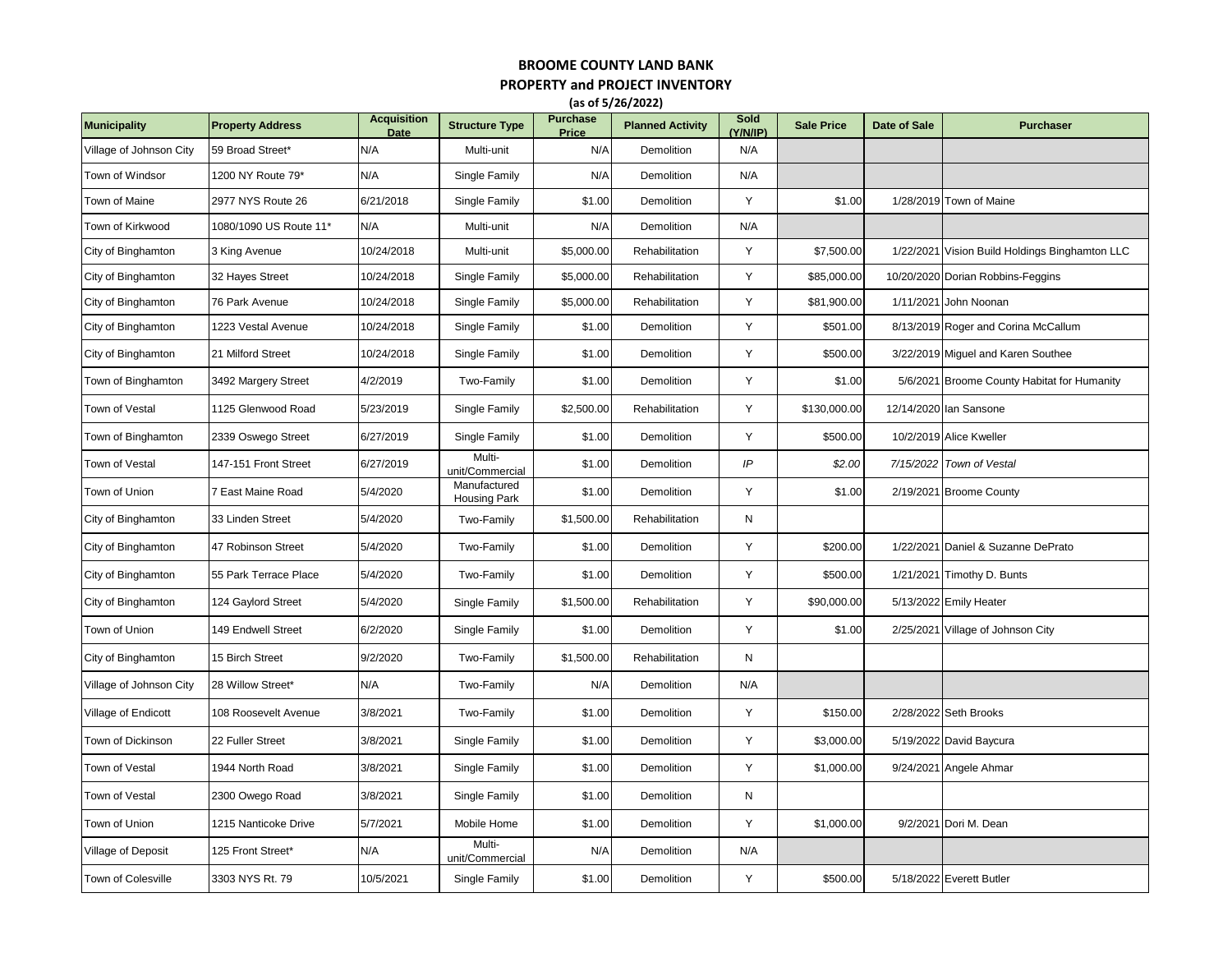## **BROOME COUNTY LAND BANK PROPERTY and PROJECT INVENTORY**

**(as of 5/26/2022)**

| <b>Municipality</b>     | <b>Property Address</b> | <b>Acquisition</b><br>Date | <b>Structure Type</b>        | <b>Purchase</b><br>Price | <b>Planned Activity</b> | Sold<br>(Y/N/IP) | <b>Sale Price</b> | Date of Sale | <b>Purchaser</b>                            |
|-------------------------|-------------------------|----------------------------|------------------------------|--------------------------|-------------------------|------------------|-------------------|--------------|---------------------------------------------|
| Village of Johnson City | 59 Broad Street*        | N/A                        | Multi-unit                   | N/A                      | <b>Demolition</b>       | N/A              |                   |              |                                             |
| Town of Windsor         | 1200 NY Route 79*       | N/A                        | Single Family                | N/A                      | Demolition              | N/A              |                   |              |                                             |
| Town of Maine           | 2977 NYS Route 26       | 6/21/2018                  | Single Family                | \$1.00                   | Demolition              | Y                | \$1.00            |              | 1/28/2019 Town of Maine                     |
| Town of Kirkwood        | 1080/1090 US Route 11*  | N/A                        | Multi-unit                   | N/A                      | Demolition              | N/A              |                   |              |                                             |
| City of Binghamton      | 3 King Avenue           | 10/24/2018                 | Multi-unit                   | \$5,000.00               | Rehabilitation          | Y                | \$7,500.00        | 1/22/2021    | Vision Build Holdings Binghamton LLC        |
| City of Binghamton      | 32 Hayes Street         | 10/24/2018                 | Single Family                | \$5,000.00               | Rehabilitation          | Y                | \$85,000.00       |              | 10/20/2020 Dorian Robbins-Feggins           |
| City of Binghamton      | 76 Park Avenue          | 10/24/2018                 | Single Family                | \$5,000.00               | Rehabilitation          | Y                | \$81,900.00       | 1/11/2021    | John Noonan                                 |
| City of Binghamton      | 1223 Vestal Avenue      | 10/24/2018                 | Single Family                | \$1.00                   | Demolition              | Y                | \$501.00          |              | 8/13/2019 Roger and Corina McCallum         |
| City of Binghamton      | 21 Milford Street       | 10/24/2018                 | Single Family                | \$1.00                   | Demolition              | Y                | \$500.00          |              | 3/22/2019 Miguel and Karen Southee          |
| Town of Binghamton      | 3492 Margery Street     | 4/2/2019                   | Two-Family                   | \$1.00                   | Demolition              | Y                | \$1.00            |              | 5/6/2021 Broome County Habitat for Humanity |
| Town of Vestal          | 1125 Glenwood Road      | 5/23/2019                  | Single Family                | \$2,500.00               | Rehabilitation          | Y                | \$130,000.00      |              | 12/14/2020 Ian Sansone                      |
| Town of Binghamton      | 2339 Oswego Street      | 6/27/2019                  | Single Family                | \$1.00                   | Demolition              | Y                | \$500.00          |              | 10/2/2019 Alice Kweller                     |
| Town of Vestal          | 147-151 Front Street    | 6/27/2019                  | Multi-<br>unit/Commercial    | \$1.00                   | Demolition              | IP               | \$2.00            | 7/15/2022    | <b>Town of Vestal</b>                       |
| Town of Union           | 7 East Maine Road       | 5/4/2020                   | Manufactured<br>Housing Park | \$1.00                   | Demolition              | Y                | \$1.00            |              | 2/19/2021 Broome County                     |
| City of Binghamton      | 33 Linden Street        | 5/4/2020                   | Two-Family                   | \$1,500.00               | Rehabilitation          | N                |                   |              |                                             |
| City of Binghamton      | 47 Robinson Street      | 5/4/2020                   | Two-Family                   | \$1.00                   | Demolition              | Y                | \$200.00          | 1/22/2021    | Daniel & Suzanne DePrato                    |
| City of Binghamton      | 55 Park Terrace Place   | 5/4/2020                   | Two-Family                   | \$1.00                   | Demolition              | Y                | \$500.00          |              | 1/21/2021 Timothy D. Bunts                  |
| City of Binghamton      | 124 Gaylord Street      | 5/4/2020                   | Single Family                | \$1,500.00               | Rehabilitation          | Y                | \$90,000.00       |              | 5/13/2022 Emily Heater                      |
| Town of Union           | 149 Endwell Street      | 6/2/2020                   | Single Family                | \$1.00                   | Demolition              | Y                | \$1.00            | 2/25/2021    | Village of Johnson City                     |
| City of Binghamton      | 15 Birch Street         | 9/2/2020                   | Two-Family                   | \$1,500.00               | Rehabilitation          | ${\sf N}$        |                   |              |                                             |
| Village of Johnson City | 28 Willow Street*       | N/A                        | Two-Family                   | N/A                      | Demolition              | N/A              |                   |              |                                             |
| Village of Endicott     | 108 Roosevelt Avenue    | 3/8/2021                   | Two-Family                   | \$1.00                   | Demolition              | Y                | \$150.00          |              | 2/28/2022 Seth Brooks                       |
| Town of Dickinson       | 22 Fuller Street        | 3/8/2021                   | Single Family                | \$1.00                   | Demolition              | Y                | \$3,000.00        |              | 5/19/2022 David Baycura                     |
| Town of Vestal          | 1944 North Road         | 3/8/2021                   | Single Family                | \$1.00                   | Demolition              | Y                | \$1,000.00        | 9/24/2021    | Angele Ahmar                                |
| Town of Vestal          | 2300 Owego Road         | 3/8/2021                   | Single Family                | \$1.00                   | Demolition              | N                |                   |              |                                             |
| Town of Union           | 1215 Nanticoke Drive    | 5/7/2021                   | Mobile Home                  | \$1.00                   | Demolition              | Y                | \$1,000.00        |              | 9/2/2021 Dori M. Dean                       |
| Village of Deposit      | 125 Front Street*       | N/A                        | Multi-<br>unit/Commercial    | N/A                      | Demolition              | N/A              |                   |              |                                             |
| Town of Colesville      | 3303 NYS Rt. 79         | 10/5/2021                  | Single Family                | \$1.00                   | Demolition              | Y                | \$500.00          |              | 5/18/2022 Everett Butler                    |